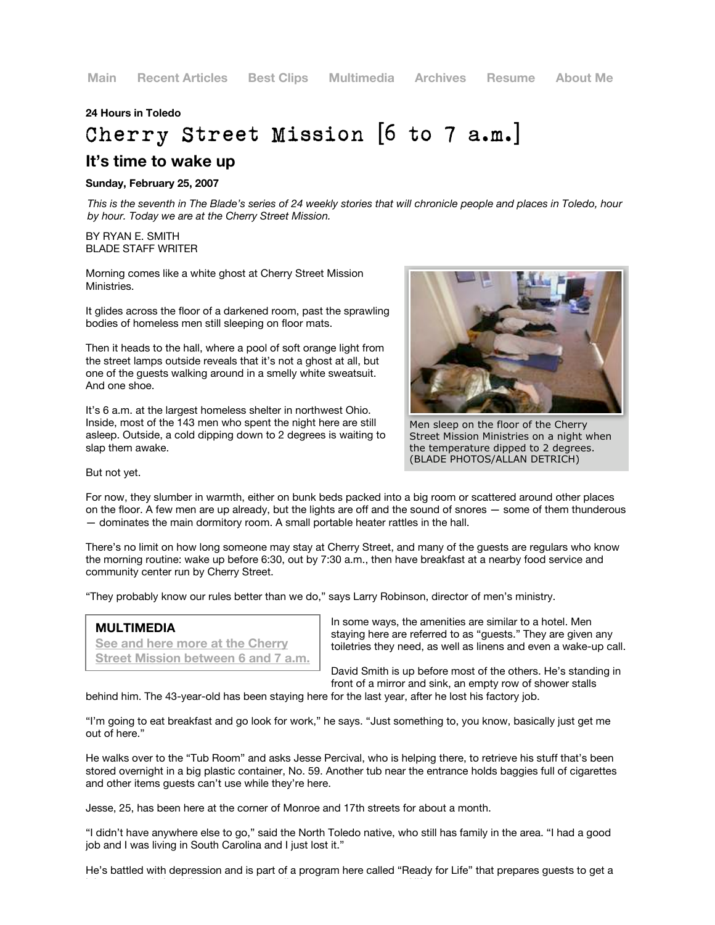**Main Recent Articles Best Clips Multimedia Archives Resume About Me**

# **24 Hours in Toledo**

# Cherry Street Mission [6 to 7 a.m.] **It's time to wake up**

#### **Sunday, February 25, 2007**

*This is the seventh in The Blade's series of 24 weekly stories that will chronicle people and places in Toledo, hour by hour. Today we are at the Cherry Street Mission.*

BY RYAN E. SMITH BLADE STAFF WRITER

Morning comes like a white ghost at Cherry Street Mission Ministries.

It glides across the floor of a darkened room, past the sprawling bodies of homeless men still sleeping on floor mats.

Then it heads to the hall, where a pool of soft orange light from the street lamps outside reveals that it's not a ghost at all, but one of the guests walking around in a smelly white sweatsuit. And one shoe.

It's 6 a.m. at the largest homeless shelter in northwest Ohio. Inside, most of the 143 men who spent the night here are still asleep. Outside, a cold dipping down to 2 degrees is waiting to slap them awake.



Men sleep on the floor of the Cherry Street Mission Ministries on a night when the temperature dipped to 2 degrees. (BLADE PHOTOS/ALLAN DETRICH)

But not yet.

For now, they slumber in warmth, either on bunk beds packed into a big room or scattered around other places on the floor. A few men are up already, but the lights are off and the sound of snores — some of them thunderous — dominates the main dormitory room. A small portable heater rattles in the hall.

There's no limit on how long someone may stay at Cherry Street, and many of the guests are regulars who know the morning routine: wake up before 6:30, out by 7:30 a.m., then have breakfast at a nearby food service and community center run by Cherry Street.

"They probably know our rules better than we do," says Larry Robinson, director of men's ministry.

## **MULTIMEDIA**

**See and here more at the Cherry Street Mission between 6 and 7 a.m.** In some ways, the amenities are similar to a hotel. Men staying here are referred to as "guests." They are given any toiletries they need, as well as linens and even a wake-up call.

David Smith is up before most of the others. He's standing in front of a mirror and sink, an empty row of shower stalls

behind him. The 43-year-old has been staying here for the last year, after he lost his factory job.

"I'm going to eat breakfast and go look for work," he says. "Just something to, you know, basically just get me out of here."

He walks over to the "Tub Room" and asks Jesse Percival, who is helping there, to retrieve his stuff that's been stored overnight in a big plastic container, No. 59. Another tub near the entrance holds baggies full of cigarettes and other items guests can't use while they're here.

Jesse, 25, has been here at the corner of Monroe and 17th streets for about a month.

"I didn't have anywhere else to go," said the North Toledo native, who still has family in the area. "I had a good job and I was living in South Carolina and I just lost it."

He's battled with depression and is part of a program here called "Ready for Life" that prepares guests to get a